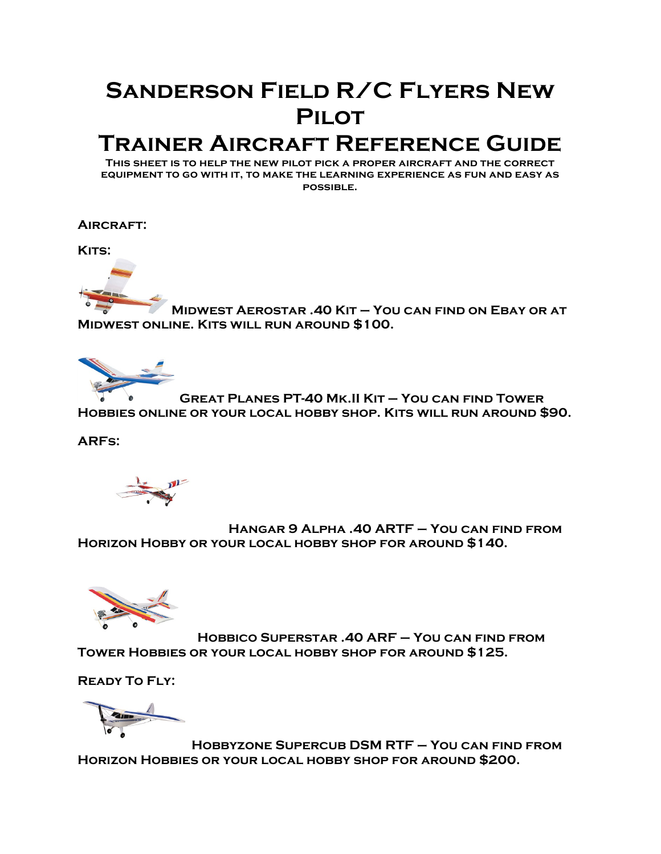# **Sanderson Field R/C Flyers New Pilot**

# **Trainer Aircraft Reference Guide**

**This sheet is to help the new pilot pick a proper aircraft and the correct equipment to go with it, to make the learning experience as fun and easy as possible.**

**Aircraft:**

KITS:



**Midwest Aerostar .40 Kit – You can find on Ebay or at Midwest online. Kits will run around \$100.**



**Great Planes PT-40 Mk.II Kit – You can find Tower Hobbies online or your local hobby shop. Kits will run around \$90.**

**ARFs:**

**Hangar 9 Alpha .40 ARTF – You can find from Horizon Hobby or your local hobby shop for around \$140.**



**Hobbico Superstar .40 ARF – You can find from Tower Hobbies or your local hobby shop for around \$125.**

**Ready To Fly:**

**Hobbyzone Supercub DSM RTF – You can find from Horizon Hobbies or your local hobby shop for around \$200.**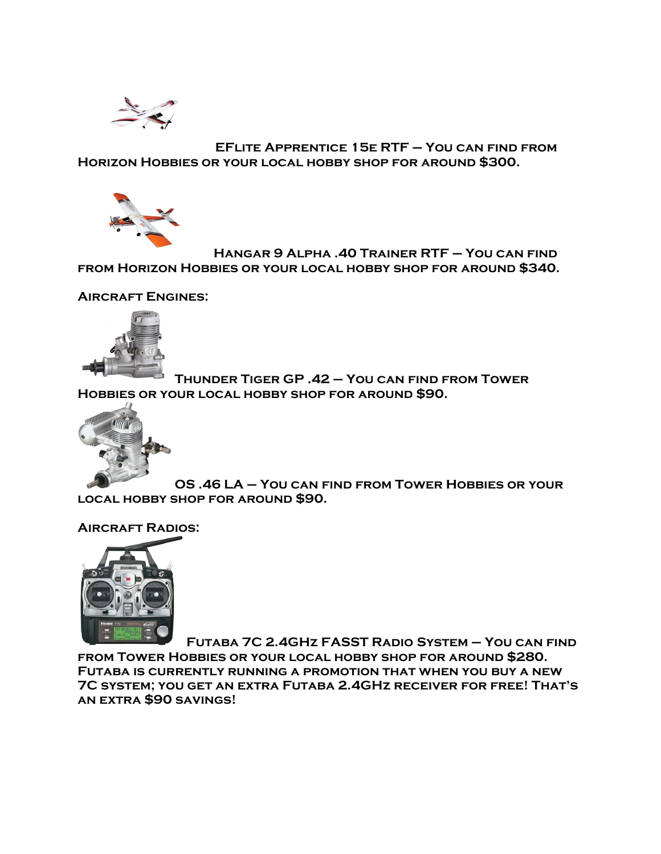

**EFlite Apprentice 15e RTF – You can find from Horizon Hobbies or your local hobby shop for around \$300.**



**Hangar 9 Alpha .40 Trainer RTF – You can find from Horizon Hobbies or your local hobby shop for around \$340.**

**Aircraft Engines:**



**Thunder Tiger GP .42 – You can find from Tower Hobbies or your local hobby shop for around \$90.**



**OS .46 LA – You can find from Tower Hobbies or your local hobby shop for around \$90.**

**Aircraft Radios:**



**Futaba 7C 2.4GHz FASST Radio System – You can find from Tower Hobbies or your local hobby shop for around \$280. Futaba is currently running a promotion that when you buy a new 7C system; you get an extra Futaba 2.4GHz receiver for free! That's an extra \$90 savings!**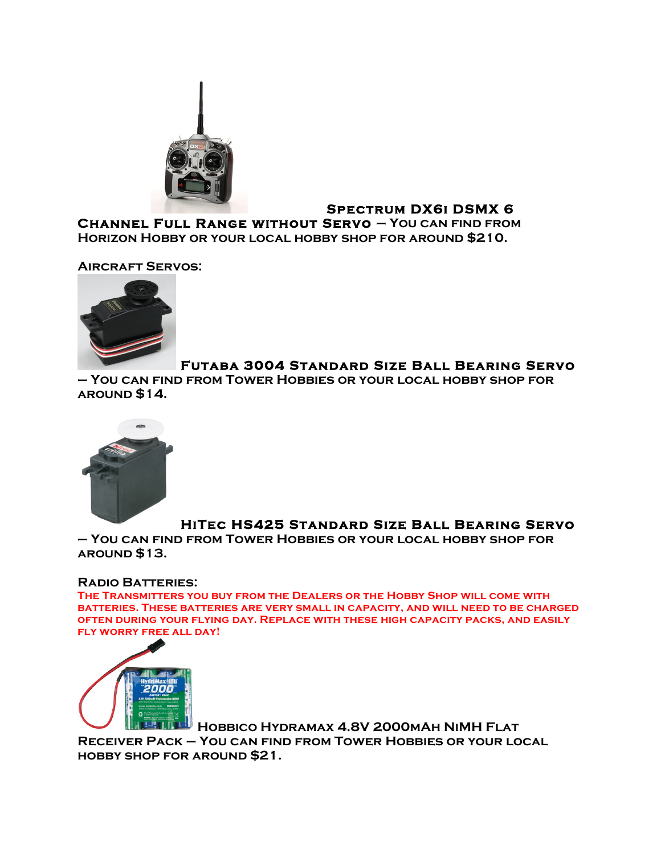

## **Spectrum DX6i DSMX 6**

**Channel Full Range without Servo – You can find from Horizon Hobby or your local hobby shop for around \$210.**

**Aircraft Servos:**



## **Futaba 3004 Standard Size Ball Bearing Servo**

**– You can find from Tower Hobbies or your local hobby shop for around \$14.**



# **HiTec HS425 Standard Size Ball Bearing Servo**

**– You can find from Tower Hobbies or your local hobby shop for around \$13.**

#### **Radio Batteries:**

**The Transmitters you buy from the Dealers or the Hobby Shop will come with batteries. These batteries are very small in capacity, and will need to be charged often during your flying day. Replace with these high capacity packs, and easily fly worry free all day!**



**Hobbico Hydramax 4.8V 2000mAh NiMH Flat Receiver Pack – You can find from Tower Hobbies or your local hobby shop for around \$21.**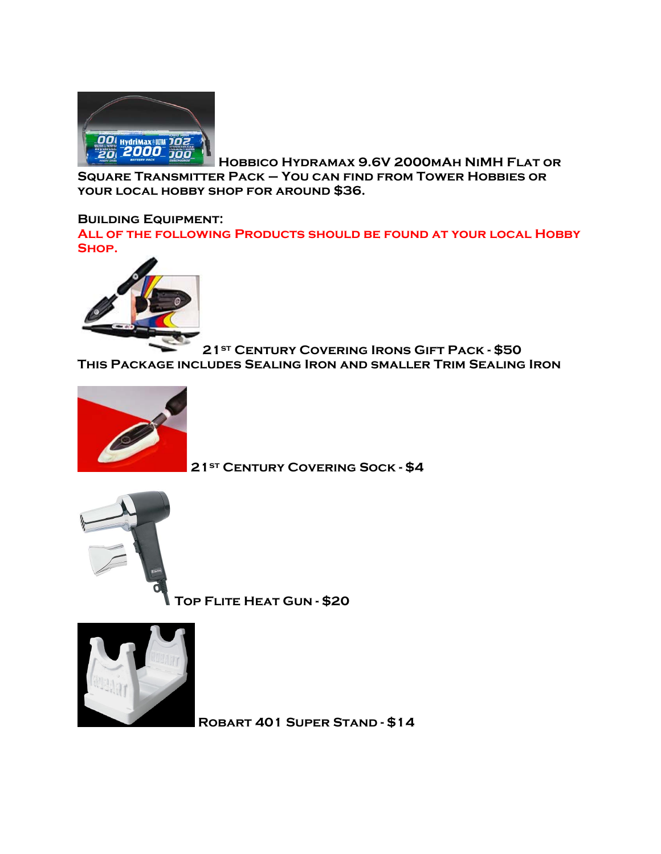

**Hobbico Hydramax 9.6V 2000mAh NiMH Flat or Square Transmitter Pack – You can find from Tower Hobbies or your local hobby shop for around \$36.**

#### **Building Equipment:**

**All of the following Products should be found at your local Hobby Shop.**



**21st Century Covering Irons Gift Pack - \$50 This Package includes Sealing Iron and smaller Trim Sealing Iron**



**21st Century Covering Sock - \$4**



**Top Flite Heat Gun - \$20**



**Robart 401 Super Stand - \$14**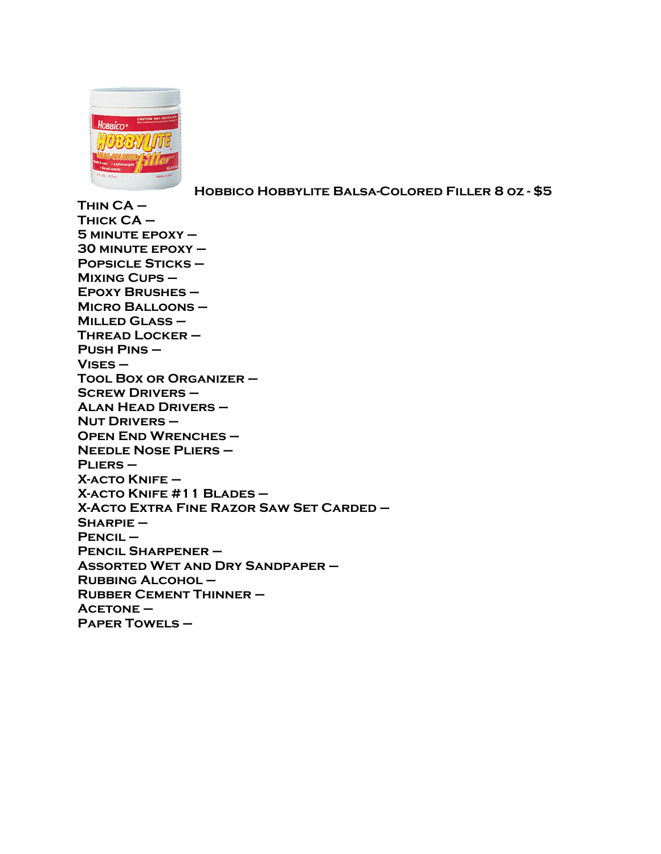

**Hobbico Hobbylite Balsa-Colored Filler 8 oz - \$5**

**Thin CA – Thick CA – 5 minute epoxy – 30 minute epoxy – Popsicle Sticks – Mixing Cups – Epoxy Brushes – Micro Balloons – Milled Glass – Thread Locker – Push Pins – Vises – Tool Box or Organizer – Screw Drivers – Alan Head Drivers – Nut Drivers – Open End Wrenches – Needle Nose Pliers – Pliers – X-acto Knife – X-acto Knife #11 Blades – X-Acto Extra Fine Razor Saw Set Carded – Sharpie – Pencil – Pencil Sharpener – Assorted Wet and Dry Sandpaper – Rubbing Alcohol – Rubber Cement Thinner – Acetone – Paper Towels –**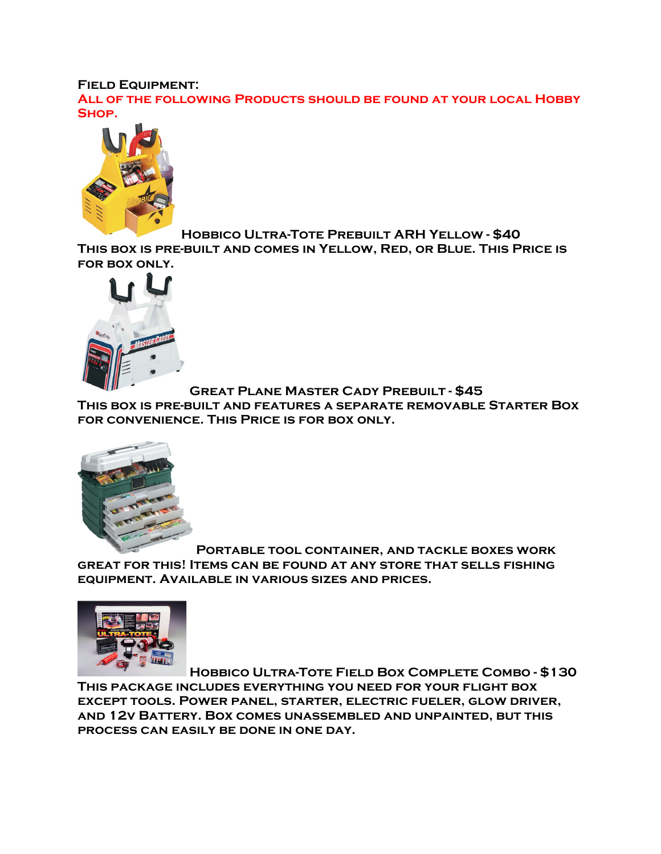#### **Field Equipment:**

**All of the following Products should be found at your local Hobby Shop.**



**Hobbico Ultra-Tote Prebuilt ARH Yellow - \$40 This box is pre-built and comes in Yellow, Red, or Blue. This Price is** 

**for box only.**

**Great Plane Master Cady Prebuilt - \$45** 

**This box is pre-built and features a separate removable Starter Box for convenience. This Price is for box only.**



**Portable tool container, and tackle boxes work great for this! Items can be found at any store that sells fishing equipment. Available in various sizes and prices.**



**Hobbico Ultra-Tote Field Box Complete Combo - \$130 This package includes everything you need for your flight box except tools. Power panel, starter, electric fueler, glow driver, and 12v Battery. Box comes unassembled and unpainted, but this process can easily be done in one day.**